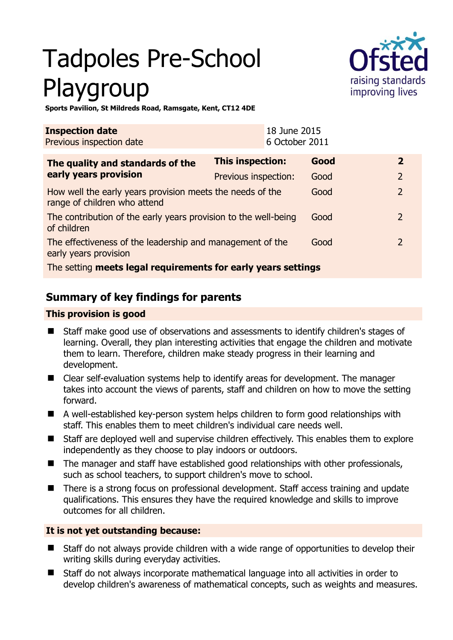# Tadpoles Pre-School Playgroup



**Sports Pavilion, St Mildreds Road, Ramsgate, Kent, CT12 4DE** 

| <b>Inspection date</b><br>Previous inspection date                                        |                         | 18 June 2015<br>6 October 2011 |      |                |
|-------------------------------------------------------------------------------------------|-------------------------|--------------------------------|------|----------------|
| The quality and standards of the<br>early years provision                                 | <b>This inspection:</b> |                                | Good | $\mathbf{2}$   |
|                                                                                           | Previous inspection:    |                                | Good | 2              |
| How well the early years provision meets the needs of the<br>range of children who attend |                         |                                | Good | $\overline{2}$ |
| The contribution of the early years provision to the well-being<br>of children            |                         |                                | Good | $\mathcal{L}$  |
| The effectiveness of the leadership and management of the<br>early years provision        |                         |                                | Good | $\mathcal{L}$  |
| The setting meets legal requirements for early years settings                             |                         |                                |      |                |

# **Summary of key findings for parents**

## **This provision is good**

- Staff make good use of observations and assessments to identify children's stages of learning. Overall, they plan interesting activities that engage the children and motivate them to learn. Therefore, children make steady progress in their learning and development.
- Clear self-evaluation systems help to identify areas for development. The manager takes into account the views of parents, staff and children on how to move the setting forward.
- A well-established key-person system helps children to form good relationships with staff. This enables them to meet children's individual care needs well.
- Staff are deployed well and supervise children effectively. This enables them to explore independently as they choose to play indoors or outdoors.
- The manager and staff have established good relationships with other professionals, such as school teachers, to support children's move to school.
- There is a strong focus on professional development. Staff access training and update qualifications. This ensures they have the required knowledge and skills to improve outcomes for all children.

## **It is not yet outstanding because:**

- Staff do not always provide children with a wide range of opportunities to develop their writing skills during everyday activities.
- Staff do not always incorporate mathematical language into all activities in order to develop children's awareness of mathematical concepts, such as weights and measures.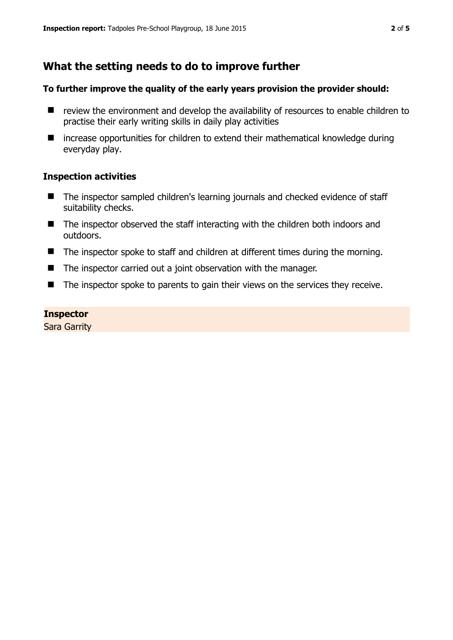# **What the setting needs to do to improve further**

#### **To further improve the quality of the early years provision the provider should:**

- review the environment and develop the availability of resources to enable children to practise their early writing skills in daily play activities
- increase opportunities for children to extend their mathematical knowledge during everyday play.

#### **Inspection activities**

- The inspector sampled children's learning journals and checked evidence of staff suitability checks.
- The inspector observed the staff interacting with the children both indoors and outdoors.
- The inspector spoke to staff and children at different times during the morning.
- The inspector carried out a joint observation with the manager.
- The inspector spoke to parents to gain their views on the services they receive.

#### **Inspector**

Sara Garrity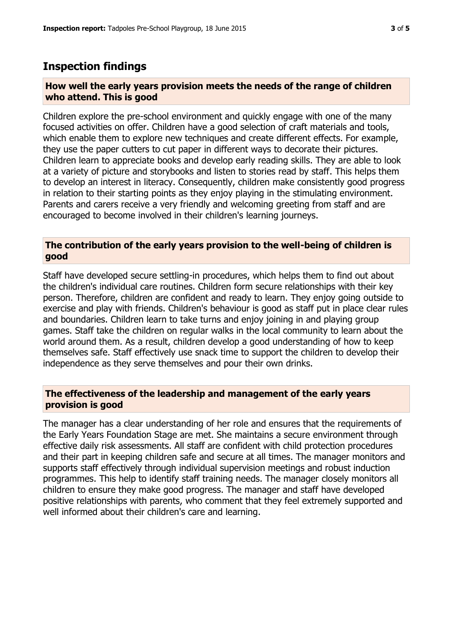## **Inspection findings**

#### **How well the early years provision meets the needs of the range of children who attend. This is good**

Children explore the pre-school environment and quickly engage with one of the many focused activities on offer. Children have a good selection of craft materials and tools, which enable them to explore new techniques and create different effects. For example, they use the paper cutters to cut paper in different ways to decorate their pictures. Children learn to appreciate books and develop early reading skills. They are able to look at a variety of picture and storybooks and listen to stories read by staff. This helps them to develop an interest in literacy. Consequently, children make consistently good progress in relation to their starting points as they enjoy playing in the stimulating environment. Parents and carers receive a very friendly and welcoming greeting from staff and are encouraged to become involved in their children's learning journeys.

#### **The contribution of the early years provision to the well-being of children is good**

Staff have developed secure settling-in procedures, which helps them to find out about the children's individual care routines. Children form secure relationships with their key person. Therefore, children are confident and ready to learn. They enjoy going outside to exercise and play with friends. Children's behaviour is good as staff put in place clear rules and boundaries. Children learn to take turns and enjoy joining in and playing group games. Staff take the children on regular walks in the local community to learn about the world around them. As a result, children develop a good understanding of how to keep themselves safe. Staff effectively use snack time to support the children to develop their independence as they serve themselves and pour their own drinks.

#### **The effectiveness of the leadership and management of the early years provision is good**

The manager has a clear understanding of her role and ensures that the requirements of the Early Years Foundation Stage are met. She maintains a secure environment through effective daily risk assessments. All staff are confident with child protection procedures and their part in keeping children safe and secure at all times. The manager monitors and supports staff effectively through individual supervision meetings and robust induction programmes. This help to identify staff training needs. The manager closely monitors all children to ensure they make good progress. The manager and staff have developed positive relationships with parents, who comment that they feel extremely supported and well informed about their children's care and learning.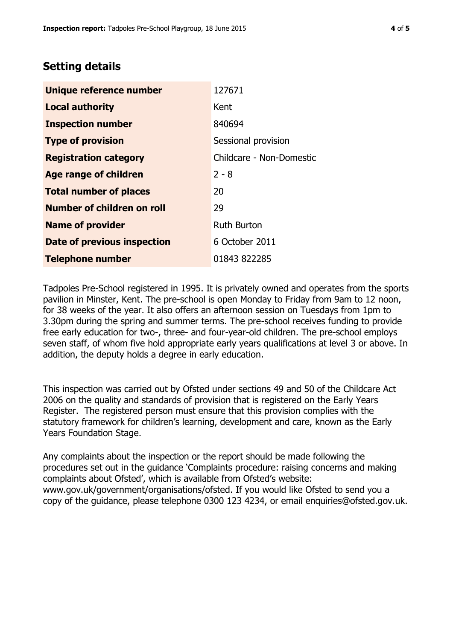## **Setting details**

| Unique reference number       | 127671                   |  |
|-------------------------------|--------------------------|--|
| <b>Local authority</b>        | Kent                     |  |
| <b>Inspection number</b>      | 840694                   |  |
| <b>Type of provision</b>      | Sessional provision      |  |
| <b>Registration category</b>  | Childcare - Non-Domestic |  |
| Age range of children         | $2 - 8$                  |  |
| <b>Total number of places</b> | 20                       |  |
| Number of children on roll    | 29                       |  |
| <b>Name of provider</b>       | <b>Ruth Burton</b>       |  |
| Date of previous inspection   | 6 October 2011           |  |
| <b>Telephone number</b>       | 01843 822285             |  |

Tadpoles Pre-School registered in 1995. It is privately owned and operates from the sports pavilion in Minster, Kent. The pre-school is open Monday to Friday from 9am to 12 noon, for 38 weeks of the year. It also offers an afternoon session on Tuesdays from 1pm to 3.30pm during the spring and summer terms. The pre-school receives funding to provide free early education for two-, three- and four-year-old children. The pre-school employs seven staff, of whom five hold appropriate early years qualifications at level 3 or above. In addition, the deputy holds a degree in early education.

This inspection was carried out by Ofsted under sections 49 and 50 of the Childcare Act 2006 on the quality and standards of provision that is registered on the Early Years Register. The registered person must ensure that this provision complies with the statutory framework for children's learning, development and care, known as the Early Years Foundation Stage.

Any complaints about the inspection or the report should be made following the procedures set out in the guidance 'Complaints procedure: raising concerns and making complaints about Ofsted', which is available from Ofsted's website: www.gov.uk/government/organisations/ofsted. If you would like Ofsted to send you a copy of the guidance, please telephone 0300 123 4234, or email enquiries@ofsted.gov.uk.